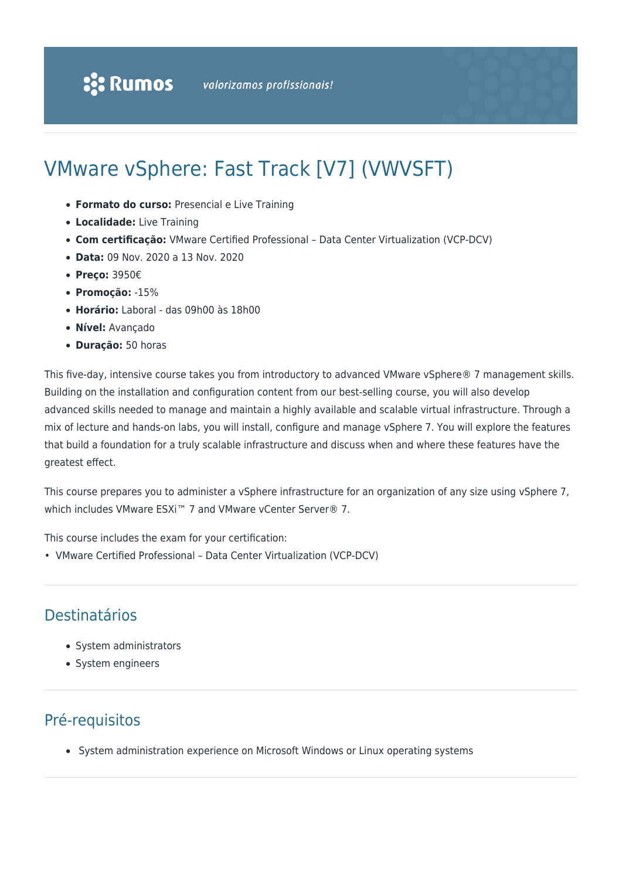# VMware vSphere: Fast Track [V7] (VWVSFT)

- **Formato do curso:** Presencial e Live Training
- **Localidade:** Live Training
- **Com certificação:** VMware Certified Professional Data Center Virtualization (VCP-DCV)
- **Data:** 09 Nov. 2020 a 13 Nov. 2020
- **Preço:** 3950€
- **Promoção:** -15%
- **Horário:** Laboral das 09h00 às 18h00
- **Nível:** Avançado
- **Duração:** 50 horas

This five-day, intensive course takes you from introductory to advanced VMware vSphere® 7 management skills. Building on the installation and configuration content from our best-selling course, you will also develop advanced skills needed to manage and maintain a highly available and scalable virtual infrastructure. Through a mix of lecture and hands-on labs, you will install, configure and manage vSphere 7. You will explore the features that build a foundation for a truly scalable infrastructure and discuss when and where these features have the greatest effect.

This course prepares you to administer a vSphere infrastructure for an organization of any size using vSphere 7, which includes VMware ESXi™ 7 and VMware vCenter Server® 7.

This course includes the exam for your certification:

• VMware Certified Professional – Data Center Virtualization (VCP-DCV)

### Destinatários

- System administrators
- System engineers

### Pré-requisitos

System administration experience on Microsoft Windows or Linux operating systems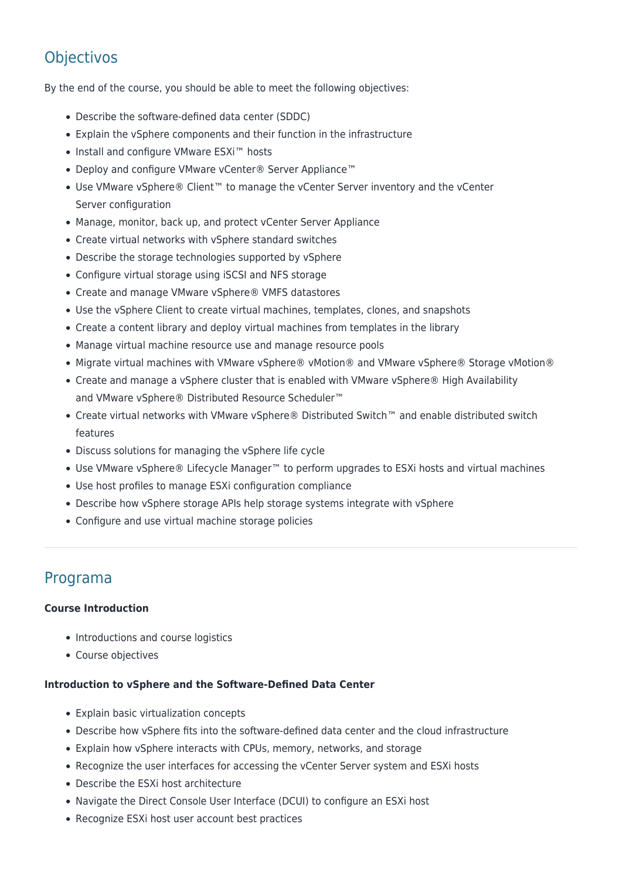## **Objectivos**

By the end of the course, you should be able to meet the following objectives:

- Describe the software-defined data center (SDDC)
- Explain the vSphere components and their function in the infrastructure
- Install and configure VMware ESXi™ hosts
- Deploy and configure VMware vCenter® Server Appliance™
- Use VMware vSphere® Client™ to manage the vCenter Server inventory and the vCenter Server configuration
- Manage, monitor, back up, and protect vCenter Server Appliance
- Create virtual networks with vSphere standard switches
- Describe the storage technologies supported by vSphere
- Configure virtual storage using iSCSI and NFS storage
- Create and manage VMware vSphere® VMFS datastores
- Use the vSphere Client to create virtual machines, templates, clones, and snapshots
- Create a content library and deploy virtual machines from templates in the library
- Manage virtual machine resource use and manage resource pools
- Migrate virtual machines with VMware vSphere® vMotion® and VMware vSphere® Storage vMotion®
- Create and manage a vSphere cluster that is enabled with VMware vSphere® High Availability and VMware vSphere® Distributed Resource Scheduler™
- Create virtual networks with VMware vSphere® Distributed Switch™ and enable distributed switch features
- Discuss solutions for managing the vSphere life cycle
- Use VMware vSphere® Lifecycle Manager™ to perform upgrades to ESXi hosts and virtual machines
- Use host profiles to manage ESXi configuration compliance
- Describe how vSphere storage APIs help storage systems integrate with vSphere
- Configure and use virtual machine storage policies

### Programa

#### **Course Introduction**

- Introductions and course logistics
- Course objectives

#### **Introduction to vSphere and the Software-Defined Data Center**

- Explain basic virtualization concepts
- Describe how vSphere fits into the software-defined data center and the cloud infrastructure
- Explain how vSphere interacts with CPUs, memory, networks, and storage
- Recognize the user interfaces for accessing the vCenter Server system and ESXi hosts
- Describe the ESXi host architecture
- Navigate the Direct Console User Interface (DCUI) to configure an ESXi host
- Recognize ESXi host user account best practices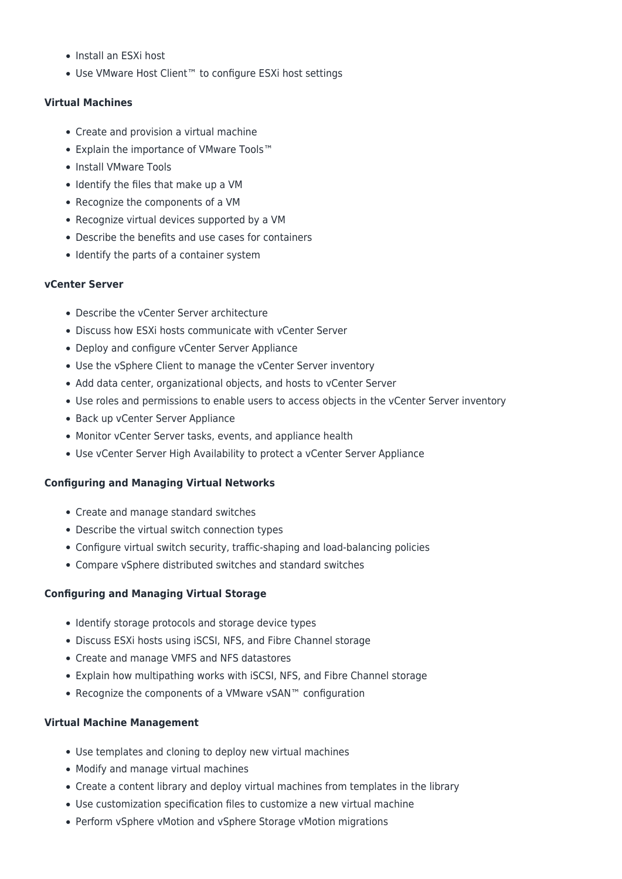- Install an ESXi host
- Use VMware Host Client™ to configure ESXi host settings

#### **Virtual Machines**

- Create and provision a virtual machine
- Explain the importance of VMware Tools™
- Install VMware Tools
- Identify the files that make up a VM
- Recognize the components of a VM
- Recognize virtual devices supported by a VM
- Describe the benefits and use cases for containers
- Identify the parts of a container system

#### **vCenter Server**

- Describe the vCenter Server architecture
- Discuss how ESXi hosts communicate with vCenter Server
- Deploy and configure vCenter Server Appliance
- Use the vSphere Client to manage the vCenter Server inventory
- Add data center, organizational objects, and hosts to vCenter Server
- Use roles and permissions to enable users to access objects in the vCenter Server inventory
- Back up vCenter Server Appliance
- Monitor vCenter Server tasks, events, and appliance health
- Use vCenter Server High Availability to protect a vCenter Server Appliance

#### **Configuring and Managing Virtual Networks**

- Create and manage standard switches
- Describe the virtual switch connection types
- Configure virtual switch security, traffic-shaping and load-balancing policies
- Compare vSphere distributed switches and standard switches

#### **Configuring and Managing Virtual Storage**

- Identify storage protocols and storage device types
- Discuss ESXi hosts using iSCSI, NFS, and Fibre Channel storage
- Create and manage VMFS and NFS datastores
- Explain how multipathing works with iSCSI, NFS, and Fibre Channel storage
- Recognize the components of a VMware vSAN™ configuration

#### **Virtual Machine Management**

- Use templates and cloning to deploy new virtual machines
- Modify and manage virtual machines
- Create a content library and deploy virtual machines from templates in the library
- Use customization specification files to customize a new virtual machine
- Perform vSphere vMotion and vSphere Storage vMotion migrations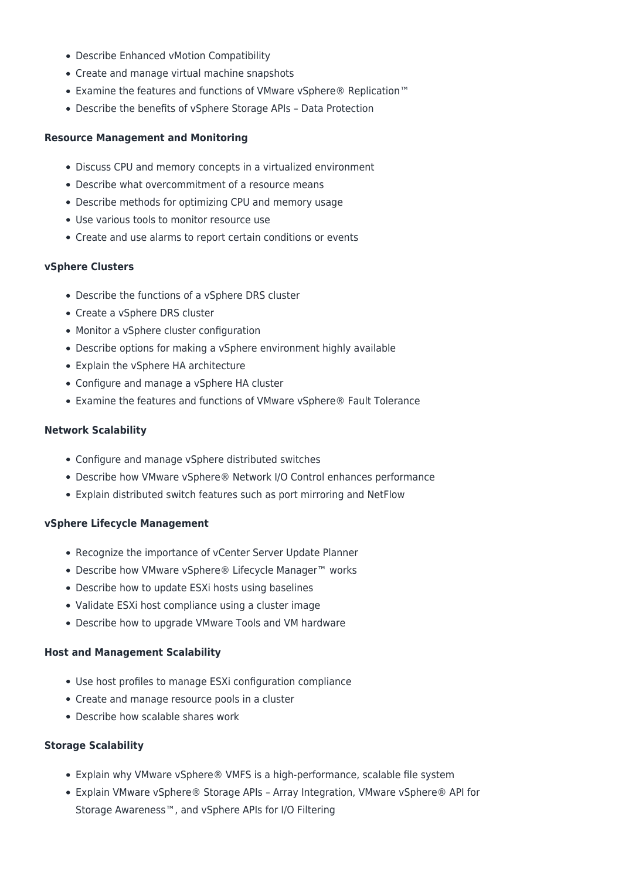- Describe Enhanced vMotion Compatibility
- Create and manage virtual machine snapshots
- Examine the features and functions of VMware vSphere® Replication™
- Describe the benefits of vSphere Storage APIs Data Protection

#### **Resource Management and Monitoring**

- Discuss CPU and memory concepts in a virtualized environment
- Describe what overcommitment of a resource means
- Describe methods for optimizing CPU and memory usage
- Use various tools to monitor resource use
- Create and use alarms to report certain conditions or events

#### **vSphere Clusters**

- Describe the functions of a vSphere DRS cluster
- Create a vSphere DRS cluster
- Monitor a vSphere cluster configuration
- Describe options for making a vSphere environment highly available
- Explain the vSphere HA architecture
- Configure and manage a vSphere HA cluster
- Examine the features and functions of VMware vSphere® Fault Tolerance

#### **Network Scalability**

- Configure and manage vSphere distributed switches
- Describe how VMware vSphere® Network I/O Control enhances performance
- Explain distributed switch features such as port mirroring and NetFlow

#### **vSphere Lifecycle Management**

- Recognize the importance of vCenter Server Update Planner
- Describe how VMware vSphere® Lifecycle Manager™ works
- Describe how to update ESXi hosts using baselines
- Validate ESXi host compliance using a cluster image
- Describe how to upgrade VMware Tools and VM hardware

#### **Host and Management Scalability**

- Use host profiles to manage ESXi configuration compliance
- Create and manage resource pools in a cluster
- Describe how scalable shares work

#### **Storage Scalability**

- Explain why VMware vSphere® VMFS is a high-performance, scalable file system
- Explain VMware vSphere® Storage APIs Array Integration, VMware vSphere® API for Storage Awareness™, and vSphere APIs for I/O Filtering